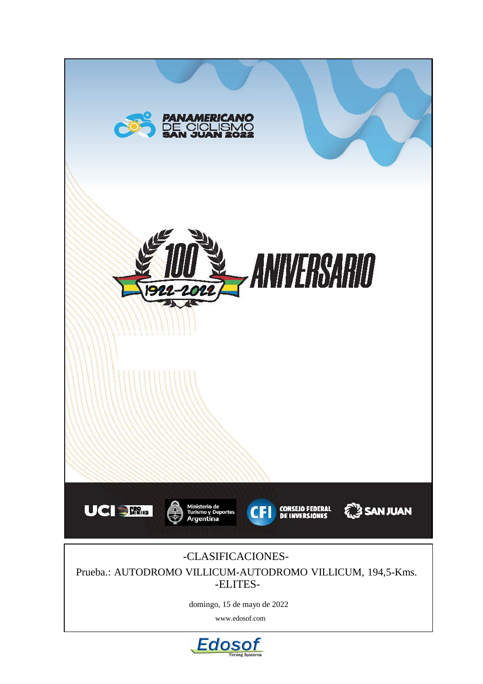

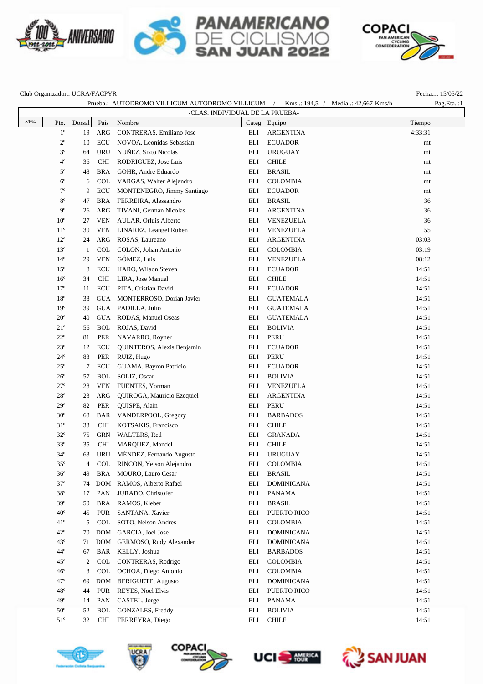







Club Organizador.: UCRA/FACPYR Fecha...: 15/05/22

|              |              |        |            |                             |                                 | Prueba.: AUTODROMO VILLICUM-AUTODROMO VILLICUM / Kms: 194,5 / Media: 42,667-Kms/h | Pag.Eta:1 |
|--------------|--------------|--------|------------|-----------------------------|---------------------------------|-----------------------------------------------------------------------------------|-----------|
|              |              |        |            |                             | -CLAS. INDIVIDUAL DE LA PRUEBA- |                                                                                   |           |
| $\rm R/P/E.$ | Pto.         | Dorsal | Pais       | Nombre                      |                                 | Categ Equipo                                                                      | Tiempo    |
|              | $1^{\circ}$  | 19     | ARG        | CONTRERAS, Emiliano Jose    | ELI                             | <b>ARGENTINA</b>                                                                  | 4:33:31   |
|              | $2^{\circ}$  | 10     | <b>ECU</b> | NOVOA, Leonidas Sebastian   | ELI                             | <b>ECUADOR</b>                                                                    | mt        |
|              | $3^{\circ}$  | 64     | <b>URU</b> | NUÑEZ, Sixto Nicolas        | ELI                             | <b>URUGUAY</b>                                                                    | mt        |
|              | $4^{\circ}$  | 36     | <b>CHI</b> | RODRIGUEZ, Jose Luis        | ELI                             | <b>CHILE</b>                                                                      | mt        |
|              | $5^{\circ}$  | 48     | <b>BRA</b> | GOHR, Andre Eduardo         | ELI                             | <b>BRASIL</b>                                                                     | mt        |
|              | $6^{\circ}$  | 6      | <b>COL</b> | VARGAS, Walter Alejandro    | ELI                             | <b>COLOMBIA</b>                                                                   | mt        |
|              | $7^{\circ}$  | 9      | ECU        | MONTENEGRO, Jimmy Santiago  | ELI                             | <b>ECUADOR</b>                                                                    | mt        |
|              | $8^{\circ}$  | 47     | BRA        | FERREIRA, Alessandro        | ELI                             | <b>BRASIL</b>                                                                     | 36        |
|              | $9^{\circ}$  | 26     | ARG        | TIVANI, German Nicolas      | ELI                             | <b>ARGENTINA</b>                                                                  | 36        |
|              | $10^{\circ}$ | 27     | <b>VEN</b> | AULAR, Orluis Alberto       | ELI                             | VENEZUELA                                                                         | 36        |
|              | $11^{\circ}$ | 30     | <b>VEN</b> | LINAREZ, Leangel Ruben      | ELI                             | VENEZUELA                                                                         | 55        |
|              | $12^{\circ}$ | 24     | ARG        | ROSAS, Laureano             | ELI                             | <b>ARGENTINA</b>                                                                  | 03:03     |
|              | $13^{\circ}$ | 1      | <b>COL</b> | COLON, Johan Antonio        | ELI                             | <b>COLOMBIA</b>                                                                   | 03:19     |
|              | $14^{\circ}$ | 29     | <b>VEN</b> | GÓMEZ, Luis                 | ELI                             | VENEZUELA                                                                         | 08:12     |
|              | $15^{\circ}$ | 8      | ECU        | HARO, Wilaon Steven         | ELI                             | <b>ECUADOR</b>                                                                    | 14:51     |
|              | $16^{\circ}$ | 34     | <b>CHI</b> | LIRA, Jose Manuel           | ELI                             | <b>CHILE</b>                                                                      | 14:51     |
|              | $17^{\circ}$ | 11     | ECU        | PITA, Cristian David        | ELI                             | <b>ECUADOR</b>                                                                    | 14:51     |
|              | $18^{\circ}$ | 38     | <b>GUA</b> | MONTERROSO, Dorian Javier   | ELI                             | <b>GUATEMALA</b>                                                                  | 14:51     |
|              | $19^{\circ}$ | 39     | GUA        | PADILLA, Julio              | ELI                             | <b>GUATEMALA</b>                                                                  | 14:51     |
|              | $20^{\circ}$ | 40     | <b>GUA</b> | RODAS, Manuel Oseas         | ELI                             | <b>GUATEMALA</b>                                                                  | 14:51     |
|              | $21^{\circ}$ | 56     | <b>BOL</b> | ROJAS, David                | ELI                             | <b>BOLIVIA</b>                                                                    | 14:51     |
|              | $22^{\circ}$ | 81     | PER        | NAVARRO, Royner             | ELI                             | <b>PERU</b>                                                                       | 14:51     |
|              | $23^{\circ}$ | 12     | ECU        | QUINTEROS, Alexis Benjamin  | ELI                             | <b>ECUADOR</b>                                                                    | 14:51     |
|              | $24^{\circ}$ | 83     | PER        | RUIZ, Hugo                  | ELI                             | <b>PERU</b>                                                                       | 14:51     |
|              | $25^{\circ}$ | 7      | <b>ECU</b> | GUAMA, Bayron Patricio      | ELI                             | <b>ECUADOR</b>                                                                    | 14:51     |
|              | $26^{\circ}$ | 57     | <b>BOL</b> | SOLIZ, Oscar                | ELI                             | <b>BOLIVIA</b>                                                                    | 14:51     |
|              | $27^{\circ}$ | 28     | <b>VEN</b> | FUENTES, Yorman             | ELI                             | VENEZUELA                                                                         | 14:51     |
|              | $28^{\circ}$ | 23     | ARG        | QUIROGA, Mauricio Ezequiel  | ELI                             | <b>ARGENTINA</b>                                                                  | 14:51     |
|              | $29^{\circ}$ | 82     | PER        | QUISPE, Alain               | ELI                             | <b>PERU</b>                                                                       | 14:51     |
|              | $30^{\circ}$ | 68     | BAR        | VANDERPOOL, Gregory         | ELI                             | <b>BARBADOS</b>                                                                   | 14:51     |
|              | $31^\circ$   | 33     | <b>CHI</b> | KOTSAKIS, Francisco         | ELI                             | <b>CHILE</b>                                                                      | 14:51     |
|              | $32^{\circ}$ | 75     | <b>GRN</b> | WALTERS, Red                | ELI                             | <b>GRANADA</b>                                                                    | 14:51     |
|              | $33^{\circ}$ | 35     | <b>CHI</b> | MARQUEZ, Mandel             | ELI                             | <b>CHILE</b>                                                                      | 14:51     |
|              | $34^\circ$   | 63     | URU        | MÉNDEZ, Fernando Augusto    | ELI                             | <b>URUGUAY</b>                                                                    | 14:51     |
|              | $35^{\circ}$ | 4      | COL        | RINCON, Yeison Alejandro    |                                 | ELI COLOMBIA                                                                      | 14:51     |
|              | $36^{\circ}$ | 49     |            | BRA MOURO, Lauro Cesar      | ELI                             | <b>BRASIL</b>                                                                     | 14:51     |
|              | $37^\circ$   | 74     | <b>DOM</b> | RAMOS, Alberto Rafael       | ELI                             | <b>DOMINICANA</b>                                                                 | 14:51     |
|              | $38^{\circ}$ | 17     | PAN        | JURADO, Christofer          | ELI                             | PANAMA                                                                            | 14:51     |
|              | $39^\circ$   | 50     | BRA        | RAMOS, Kleber               | ELI                             | <b>BRASIL</b>                                                                     | 14:51     |
|              | $40^{\circ}$ | 45     | <b>PUR</b> | SANTANA, Xavier             | ELI                             | PUERTO RICO                                                                       | 14:51     |
|              | $41^{\circ}$ | 5      | <b>COL</b> | SOTO, Nelson Andres         | ELI                             | <b>COLOMBIA</b>                                                                   | 14:51     |
|              | $42^{\circ}$ | 70     | <b>DOM</b> | GARCIA, Joel Jose           | ELI                             | <b>DOMINICANA</b>                                                                 | 14:51     |
|              | $43^\circ$   | 71     |            | DOM GERMOSO, Rudy Alexander | ELI                             | <b>DOMINICANA</b>                                                                 | 14:51     |
|              | $44^\circ$   | 67     | BAR        | KELLY, Joshua               | ELI                             | <b>BARBADOS</b>                                                                   | 14:51     |
|              | $45^{\circ}$ | 2      | COL        | CONTRERAS, Rodrigo          | ELI                             | <b>COLOMBIA</b>                                                                   | 14:51     |
|              | $46^{\circ}$ | 3      | <b>COL</b> | OCHOA, Diego Antonio        | ELI                             | <b>COLOMBIA</b>                                                                   | 14:51     |
|              | $47^\circ$   | 69     |            | DOM BERIGUETE, Augusto      | ELI                             | <b>DOMINICANA</b>                                                                 | 14:51     |
|              | $48^{\circ}$ | 44     | <b>PUR</b> | REYES, Noel Elvis           | ELI                             | PUERTO RICO                                                                       | 14:51     |
|              | $49^\circ$   | 14     | PAN        | CASTEL, Jorge               | ELI                             | PANAMA                                                                            | 14:51     |
|              | $50^{\circ}$ | 52     | <b>BOL</b> | GONZALES, Freddy            | ELI                             | <b>BOLIVIA</b>                                                                    | 14:51     |
|              | $51^\circ$   | 32     | <b>CHI</b> | FERREYRA, Diego             | ELI                             | <b>CHILE</b>                                                                      | 14:51     |









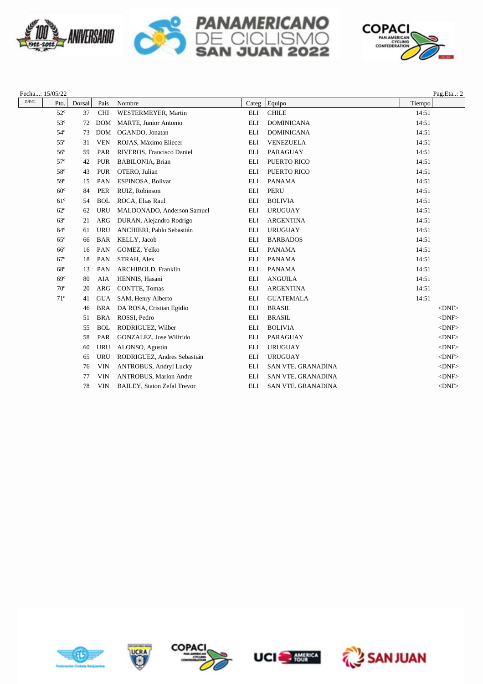







|           | Fecha: 15/05/22 |        |            |                                    |            |                           |        | Pag.Eta: 2  |
|-----------|-----------------|--------|------------|------------------------------------|------------|---------------------------|--------|-------------|
| $R/P/E$ . | Pto.            | Dorsal | Pais       | Nombre                             |            | Categ Equipo              | Tiempo |             |
|           | $52^{\circ}$    | 37     | <b>CHI</b> | WESTERMEYER, Martin                | ELI        | <b>CHILE</b>              | 14:51  |             |
|           | $53^\circ$      | 72     | <b>DOM</b> | <b>MARTE, Junior Antonio</b>       | <b>ELI</b> | <b>DOMINICANA</b>         | 14:51  |             |
|           | $54^\circ$      | 73     | <b>DOM</b> | OGANDO, Jonatan                    | ELI        | <b>DOMINICANA</b>         | 14:51  |             |
|           | $55^{\circ}$    | 31     | <b>VEN</b> | ROJAS, Máximo Eliecer              | ELI        | VENEZUELA                 | 14:51  |             |
|           | $56^{\circ}$    | 59     | PAR        | RIVEROS, Francisco Daniel          | ELI        | PARAGUAY                  | 14:51  |             |
|           | $57^\circ$      | 42     | <b>PUR</b> | BABILONIA, Brian                   | ELI        | PUERTO RICO               | 14:51  |             |
|           | 58°             | 43     | <b>PUR</b> | OTERO, Julian                      | <b>ELI</b> | PUERTO RICO               | 14:51  |             |
|           | 59°             | 15     | PAN        | ESPINOSA, Bolivar                  | ELI        | <b>PANAMA</b>             | 14:51  |             |
|           | $60^\circ$      | 84     | <b>PER</b> | RUIZ, Robinson                     | ELI        | <b>PERU</b>               | 14:51  |             |
|           | $61^\circ$      | 54     | <b>BOL</b> | ROCA, Elias Raul                   | <b>ELI</b> | <b>BOLIVIA</b>            | 14:51  |             |
|           | $62^{\circ}$    | 62     | <b>URU</b> | MALDONADO, Anderson Samuel         | ELI        | <b>URUGUAY</b>            | 14:51  |             |
|           | $63^\circ$      | 21     | <b>ARG</b> | DURAN, Alejandro Rodrigo           | <b>ELI</b> | <b>ARGENTINA</b>          | 14:51  |             |
|           | $64^\circ$      | 61     | <b>URU</b> | ANCHIERI, Pablo Sebastián          | ELI        | <b>URUGUAY</b>            | 14:51  |             |
|           | $65^{\circ}$    | 66     | <b>BAR</b> | KELLY, Jacob                       | ELI        | <b>BARBADOS</b>           | 14:51  |             |
|           | $66^{\circ}$    | 16     | PAN        | GOMEZ, Yelko                       | <b>ELI</b> | <b>PANAMA</b>             | 14:51  |             |
|           | $67^\circ$      | 18     | PAN        | STRAH, Alex                        | ELI        | <b>PANAMA</b>             | 14:51  |             |
|           | $68^\circ$      | 13     | PAN        | ARCHIBOLD, Franklin                | ELI        | <b>PANAMA</b>             | 14:51  |             |
|           | $69^\circ$      | 80     | AIA        | HENNIS, Hasani                     | <b>ELI</b> | <b>ANGUILA</b>            | 14:51  |             |
|           | $70^{\circ}$    | 20     | <b>ARG</b> | <b>CONTTE, Tomas</b>               | ELI        | <b>ARGENTINA</b>          | 14:51  |             |
|           | $71^\circ$      | 41     | <b>GUA</b> | SAM, Henry Alberto                 | <b>ELI</b> | <b>GUATEMALA</b>          | 14:51  |             |
|           |                 | 46     | <b>BRA</b> | DA ROSA, Cristian Egidio           | ELI        | <b>BRASIL</b>             |        | $<$ DNF $>$ |
|           |                 | 51     | <b>BRA</b> | ROSSI, Pedro                       | ELI        | <b>BRASIL</b>             |        | $<$ DNF $>$ |
|           |                 | 55     | <b>BOL</b> | RODRIGUEZ, Wilber                  | ELI        | <b>BOLIVIA</b>            |        | $<$ DNF $>$ |
|           |                 | 58     | PAR        | GONZALEZ, Jose Wilfrido            | ELI        | PARAGUAY                  |        | $<$ DNF>    |
|           |                 | 60     | <b>URU</b> | ALONSO, Agustín                    | ELI        | <b>URUGUAY</b>            |        | $<$ DNF $>$ |
|           |                 | 65     | <b>URU</b> | RODRIGUEZ, Andres Sebastián        | ELI        | <b>URUGUAY</b>            |        | $<$ DNF>    |
|           |                 | 76     | <b>VIN</b> | ANTROBUS, Andryl Lucky             | ELI        | <b>SAN VTE. GRANADINA</b> |        | $<$ DNF $>$ |
|           |                 | 77     | <b>VIN</b> | ANTROBUS, Marlon Andre             | ELI        | SAN VTE. GRANADINA        |        | $<$ DNF>    |
|           |                 | 78     | <b>VIN</b> | <b>BAILEY, Staton Zefal Trevor</b> | ELI        | SAN VTE. GRANADINA        |        | $<$ DNF>    |